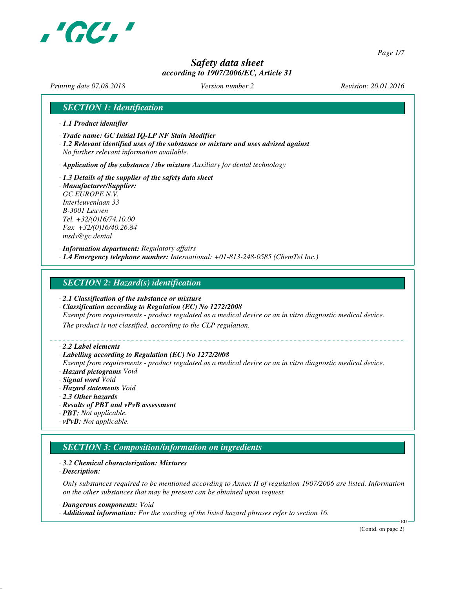

*Page 1/7*

# *Safety data sheet according to 1907/2006/EC, Article 31*

*Printing date 07.08.2018 Version number 2 Revision: 20.01.2016*

# *SECTION 1: Identification*

- *· 1.1 Product identifier*
- *· Trade name: GC Initial IQ-LP NF Stain Modifier*
- *· 1.2 Relevant identified uses of the substance or mixture and uses advised against No further relevant information available.*

*· Application of the substance / the mixture Auxiliary for dental technology*

*· 1.3 Details of the supplier of the safety data sheet · Manufacturer/Supplier: GC EUROPE N.V. Interleuvenlaan 33 B-3001 Leuven Tel. +32/(0)16/74.10.00 Fax +32/(0)16/40.26.84 msds@gc.dental*

*· Information department: Regulatory affairs · 1.4 Emergency telephone number: International: +01-813-248-0585 (ChemTel Inc.)*

#### *SECTION 2: Hazard(s) identification*

- *· 2.1 Classification of the substance or mixture*
- *· Classification according to Regulation (EC) No 1272/2008*

*Exempt from requirements - product regulated as a medical device or an in vitro diagnostic medical device.*

*The product is not classified, according to the CLP regulation.*

#### *· 2.2 Label elements*

#### *· Labelling according to Regulation (EC) No 1272/2008*

*Exempt from requirements - product regulated as a medical device or an in vitro diagnostic medical device. · Hazard pictograms Void*

- *· Signal word Void*
- *· Hazard statements Void*
- *· 2.3 Other hazards*
- *· Results of PBT and vPvB assessment*
- *· PBT: Not applicable.*
- *· vPvB: Not applicable.*

# *SECTION 3: Composition/information on ingredients*

#### *· 3.2 Chemical characterization: Mixtures*

*· Description:*

*Only substances required to be mentioned according to Annex II of regulation 1907/2006 are listed. Information on the other substances that may be present can be obtained upon request.*

*· Dangerous components: Void*

*· Additional information: For the wording of the listed hazard phrases refer to section 16.*

(Contd. on page 2)

EU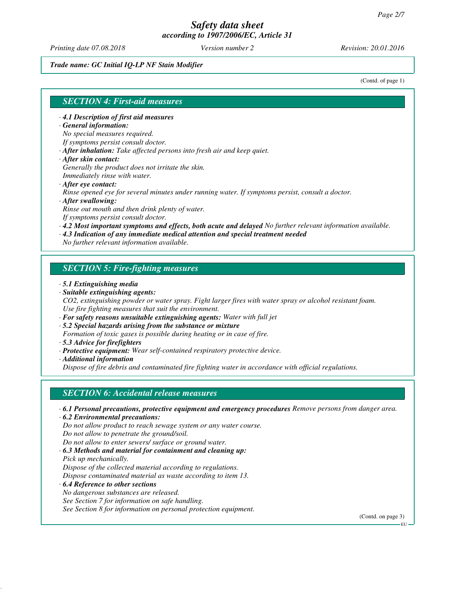*Printing date 07.08.2018 Version number 2 Revision: 20.01.2016*

#### *Trade name: GC Initial IQ-LP NF Stain Modifier*

(Contd. of page 1)

#### *SECTION 4: First-aid measures*

*· 4.1 Description of first aid measures*

#### *· General information:*

*No special measures required.*

- *If symptoms persist consult doctor.*
- *· After inhalation: Take affected persons into fresh air and keep quiet.*
- *· After skin contact:*
- *Generally the product does not irritate the skin. Immediately rinse with water.*
- *· After eye contact:*

*Rinse opened eye for several minutes under running water. If symptoms persist, consult a doctor.*

*· After swallowing:*

*Rinse out mouth and then drink plenty of water. If symptoms persist consult doctor.*

*· 4.2 Most important symptoms and effects, both acute and delayed No further relevant information available.*

*· 4.3 Indication of any immediate medical attention and special treatment needed*

*No further relevant information available.*

# *SECTION 5: Fire-fighting measures*

- *· 5.1 Extinguishing media*
- *· Suitable extinguishing agents:*

*CO2, extinguishing powder or water spray. Fight larger fires with water spray or alcohol resistant foam. Use fire fighting measures that suit the environment.*

- *· For safety reasons unsuitable extinguishing agents: Water with full jet*
- *· 5.2 Special hazards arising from the substance or mixture*

*Formation of toxic gases is possible during heating or in case of fire.*

- *· 5.3 Advice for firefighters*
- *· Protective equipment: Wear self-contained respiratory protective device.*

*· Additional information*

*Dispose of fire debris and contaminated fire fighting water in accordance with official regulations.*

### *SECTION 6: Accidental release measures*

- *· 6.1 Personal precautions, protective equipment and emergency procedures Remove persons from danger area.*
- *· 6.2 Environmental precautions: Do not allow product to reach sewage system or any water course. Do not allow to penetrate the ground/soil.*
- *Do not allow to enter sewers/ surface or ground water.*
- *· 6.3 Methods and material for containment and cleaning up: Pick up mechanically. Dispose of the collected material according to regulations.*

*Dispose contaminated material as waste according to item 13.*

- *· 6.4 Reference to other sections*
- *No dangerous substances are released.*

*See Section 7 for information on safe handling.*

*See Section 8 for information on personal protection equipment.*

(Contd. on page 3)

EU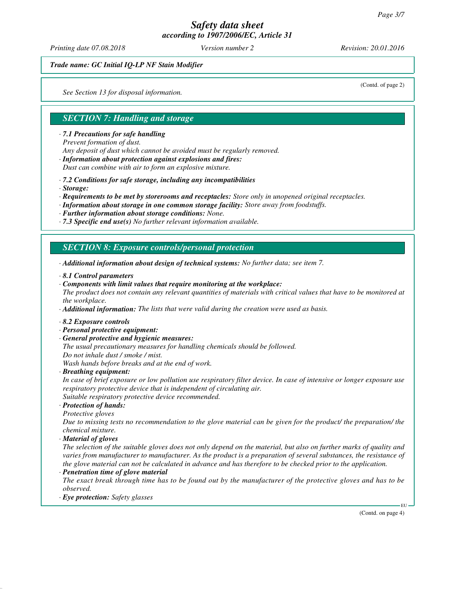*Printing date 07.08.2018 Version number 2 Revision: 20.01.2016*

(Contd. of page 2)

*Trade name: GC Initial IQ-LP NF Stain Modifier*

*See Section 13 for disposal information.*

# *SECTION 7: Handling and storage*

*· 7.1 Precautions for safe handling*

*Prevent formation of dust.*

*Any deposit of dust which cannot be avoided must be regularly removed.*

*· Information about protection against explosions and fires:*

*Dust can combine with air to form an explosive mixture.*

- *· 7.2 Conditions for safe storage, including any incompatibilities*
- *· Storage:*
- *· Requirements to be met by storerooms and receptacles: Store only in unopened original receptacles.*
- *· Information about storage in one common storage facility: Store away from foodstuffs.*
- *· Further information about storage conditions: None.*
- *· 7.3 Specific end use(s) No further relevant information available.*

### *SECTION 8: Exposure controls/personal protection*

- *· Additional information about design of technical systems: No further data; see item 7.*
- *· 8.1 Control parameters*
- *· Components with limit values that require monitoring at the workplace:*

*The product does not contain any relevant quantities of materials with critical values that have to be monitored at the workplace.*

- *· Additional information: The lists that were valid during the creation were used as basis.*
- *· 8.2 Exposure controls*
- *· Personal protective equipment:*
- *· General protective and hygienic measures:*
- *The usual precautionary measures for handling chemicals should be followed. Do not inhale dust / smoke / mist.*

*Wash hands before breaks and at the end of work.*

*· Breathing equipment:*

*In case of brief exposure or low pollution use respiratory filter device. In case of intensive or longer exposure use respiratory protective device that is independent of circulating air.*

*Suitable respiratory protective device recommended.*

- *· Protection of hands:*
- *Protective gloves*

*Due to missing tests no recommendation to the glove material can be given for the product/ the preparation/ the chemical mixture.*

*· Material of gloves*

*The selection of the suitable gloves does not only depend on the material, but also on further marks of quality and varies from manufacturer to manufacturer. As the product is a preparation of several substances, the resistance of the glove material can not be calculated in advance and has therefore to be checked prior to the application.*

*· Penetration time of glove material*

*The exact break through time has to be found out by the manufacturer of the protective gloves and has to be observed.*

*· Eye protection: Safety glasses*

(Contd. on page 4)

EU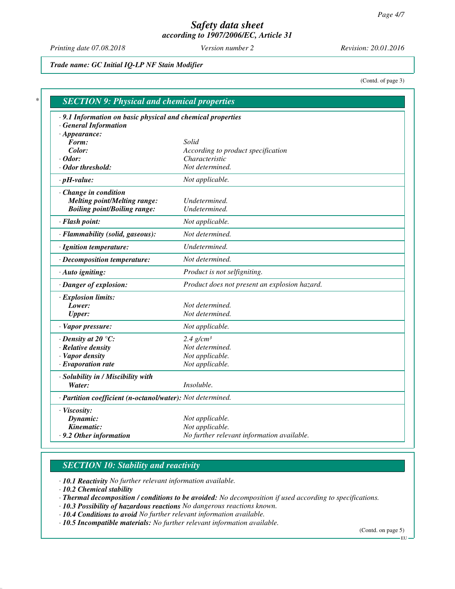*Printing date 07.08.2018 Version number 2 Revision: 20.01.2016*

*Trade name: GC Initial IQ-LP NF Stain Modifier*

(Contd. of page 3)

|                                                            | · 9.1 Information on basic physical and chemical properties   |
|------------------------------------------------------------|---------------------------------------------------------------|
| <b>General Information</b>                                 |                                                               |
| $\cdot$ Appearance:                                        |                                                               |
| Form:                                                      | Solid                                                         |
| Color:                                                     | According to product specification                            |
| $\cdot$ Odor:<br>$\cdot$ Odor threshold:                   | Characteristic<br>Not determined.                             |
|                                                            |                                                               |
| $\cdot$ pH-value:                                          | Not applicable.                                               |
| · Change in condition                                      |                                                               |
| <b>Melting point/Melting range:</b>                        | Undetermined.                                                 |
| <b>Boiling point/Boiling range:</b>                        | Undetermined.                                                 |
| · Flash point:                                             | Not applicable.                                               |
| · Flammability (solid, gaseous):                           | Not determined.                                               |
| · Ignition temperature:                                    | Undetermined.                                                 |
| · Decomposition temperature:                               | Not determined.                                               |
| · Auto igniting:                                           | Product is not selfigniting.                                  |
| · Danger of explosion:                                     | Product does not present an explosion hazard.                 |
| · Explosion limits:                                        |                                                               |
| Lower:                                                     | Not determined.                                               |
| <b>Upper:</b>                                              | Not determined.                                               |
| · Vapor pressure:                                          | Not applicable.                                               |
| $\cdot$ Density at 20 $\degree$ C:                         | $2.4$ g/cm <sup>3</sup>                                       |
| · Relative density                                         | Not determined.                                               |
| · Vapor density                                            | Not applicable.                                               |
| $\cdot$ Evaporation rate                                   | Not applicable.                                               |
| · Solubility in / Miscibility with                         |                                                               |
| Water:                                                     | Insoluble.                                                    |
| · Partition coefficient (n-octanol/water): Not determined. |                                                               |
| · Viscosity:                                               |                                                               |
| Dynamic:                                                   | Not applicable.                                               |
| Kinematic:                                                 | Not applicable.<br>No further relevant information available. |

# *SECTION 10: Stability and reactivity*

*· 10.1 Reactivity No further relevant information available.*

*· 10.2 Chemical stability*

*· Thermal decomposition / conditions to be avoided: No decomposition if used according to specifications.*

- *· 10.3 Possibility of hazardous reactions No dangerous reactions known.*
- *· 10.4 Conditions to avoid No further relevant information available.*

*· 10.5 Incompatible materials: No further relevant information available.*

(Contd. on page 5)

EU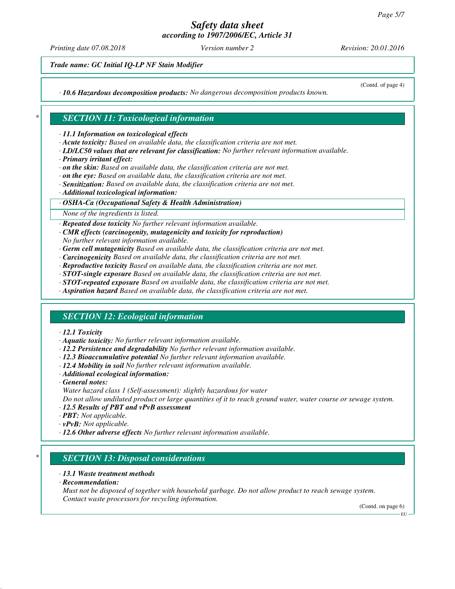*Printing date 07.08.2018 Version number 2 Revision: 20.01.2016*

(Contd. of page 4)

*Trade name: GC Initial IQ-LP NF Stain Modifier*

*· 10.6 Hazardous decomposition products: No dangerous decomposition products known.*

# *\* SECTION 11: Toxicological information*

*· 11.1 Information on toxicological effects*

- *· Acute toxicity: Based on available data, the classification criteria are not met.*
- *· LD/LC50 values that are relevant for classification: No further relevant information available.*
- *· Primary irritant effect:*
- *· on the skin: Based on available data, the classification criteria are not met.*
- *· on the eye: Based on available data, the classification criteria are not met.*
- *· Sensitization: Based on available data, the classification criteria are not met.*
- *· Additional toxicological information:*

#### *· OSHA-Ca (Occupational Safety & Health Administration)*

*None of the ingredients is listed.*

*· Repeated dose toxicity No further relevant information available.*

- *· CMR effects (carcinogenity, mutagenicity and toxicity for reproduction)*
- *No further relevant information available.*
- *· Germ cell mutagenicity Based on available data, the classification criteria are not met.*
- *· Carcinogenicity Based on available data, the classification criteria are not met.*
- *· Reproductive toxicity Based on available data, the classification criteria are not met.*
- *· STOT-single exposure Based on available data, the classification criteria are not met.*
- *· STOT-repeated exposure Based on available data, the classification criteria are not met.*
- *· Aspiration hazard Based on available data, the classification criteria are not met.*

# *SECTION 12: Ecological information*

#### *· 12.1 Toxicity*

- *· Aquatic toxicity: No further relevant information available.*
- *· 12.2 Persistence and degradability No further relevant information available.*
- *· 12.3 Bioaccumulative potential No further relevant information available.*
- *· 12.4 Mobility in soil No further relevant information available.*
- *· Additional ecological information:*
- *· General notes:*
- *Water hazard class 1 (Self-assessment): slightly hazardous for water*

*Do not allow undiluted product or large quantities of it to reach ground water, water course or sewage system.*

- *· 12.5 Results of PBT and vPvB assessment*
- *· PBT: Not applicable.*
- *· vPvB: Not applicable.*
- *· 12.6 Other adverse effects No further relevant information available.*

### *\* SECTION 13: Disposal considerations*

#### *· 13.1 Waste treatment methods*

*· Recommendation:*

*Must not be disposed of together with household garbage. Do not allow product to reach sewage system. Contact waste processors for recycling information.*

(Contd. on page 6) EU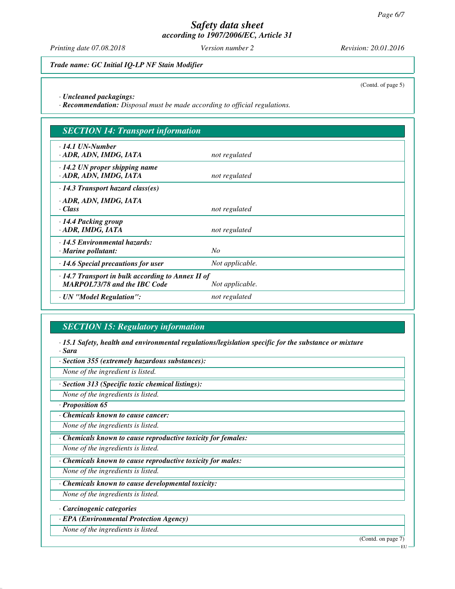*Printing date 07.08.2018 Version number 2 Revision: 20.01.2016*

*Trade name: GC Initial IQ-LP NF Stain Modifier*

(Contd. of page 5)

*· Uncleaned packagings:*

*· Recommendation: Disposal must be made according to official regulations.*

| <b>SECTION 14: Transport information</b>                                                                          |                 |  |
|-------------------------------------------------------------------------------------------------------------------|-----------------|--|
| $\cdot$ 14.1 UN-Number<br>· ADR, ADN, IMDG, IATA                                                                  | not regulated   |  |
| $\cdot$ 14.2 UN proper shipping name<br>· ADR, ADN, IMDG, IATA                                                    | not regulated   |  |
| $\cdot$ 14.3 Transport hazard class(es)                                                                           |                 |  |
| · ADR, ADN, IMDG, IATA<br>· Class                                                                                 | not regulated   |  |
| $\cdot$ 14.4 Packing group<br>· ADR, IMDG, IATA                                                                   | not regulated   |  |
| $\cdot$ 14.5 Environmental hazards:<br>$\cdot$ Marine pollutant:                                                  | N <sub>O</sub>  |  |
| $\cdot$ 14.6 Special precautions for user                                                                         | Not applicable. |  |
| $\cdot$ 14.7 Transport in bulk according to Annex II of<br><b>MARPOL73/78 and the IBC Code</b><br>Not applicable. |                 |  |
| · UN "Model Regulation":                                                                                          | not regulated   |  |

# *SECTION 15: Regulatory information*

*· 15.1 Safety, health and environmental regulations/legislation specific for the substance or mixture · Sara*

*· Section 355 (extremely hazardous substances):*

*None of the ingredient is listed.*

*· Section 313 (Specific toxic chemical listings):*

*None of the ingredients is listed.*

*· Proposition 65*

*· Chemicals known to cause cancer:*

*None of the ingredients is listed.*

*· Chemicals known to cause reproductive toxicity for females:*

*None of the ingredients is listed.*

*· Chemicals known to cause reproductive toxicity for males:*

*None of the ingredients is listed.*

*· Chemicals known to cause developmental toxicity:*

*None of the ingredients is listed.*

*· Carcinogenic categories*

*· EPA (Environmental Protection Agency)*

*None of the ingredients is listed.*

(Contd. on page 7)

EU